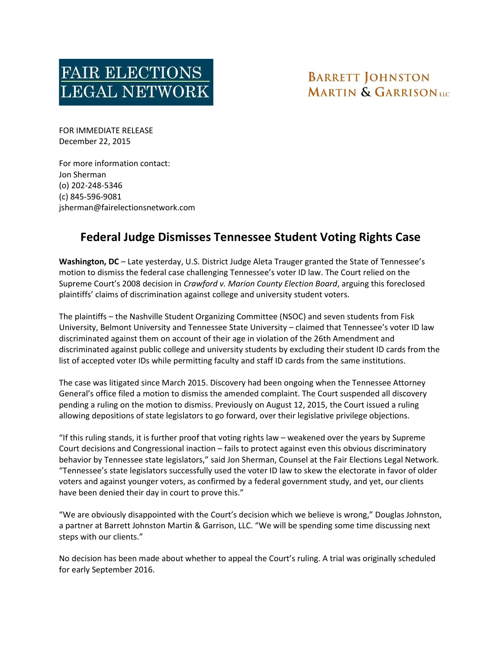

## **BARRETT JOHNSTON MARTIN & GARRISON**UC

FOR IMMEDIATE RELEASE December 22, 2015

For more information contact: Jon Sherman (o) 202-248-5346 (c) 845-596-9081 jsherman@fairelectionsnetwork.com

## Federal Judge Dismisses Tennessee Student Voting Rights Case

Washington, DC - Late yesterday, U.S. District Judge Aleta Trauger granted the State of Tennessee's motion to dismiss the federal case challenging Tennessee's voter ID law. The Court relied on the Supreme Court's 2008 decision in Crawford v. Marion County Election Board, arguing this foreclosed plaintiffs' claims of discrimination against college and university student voters.

The plaintiffs – the Nashville Student Organizing Committee (NSOC) and seven students from Fisk University, Belmont University and Tennessee State University – claimed that Tennessee's voter ID law discriminated against them on account of their age in violation of the 26th Amendment and discriminated against public college and university students by excluding their student ID cards from the list of accepted voter IDs while permitting faculty and staff ID cards from the same institutions.

The case was litigated since March 2015. Discovery had been ongoing when the Tennessee Attorney General's office filed a motion to dismiss the amended complaint. The Court suspended all discovery pending a ruling on the motion to dismiss. Previously on August 12, 2015, the Court issued a ruling allowing depositions of state legislators to go forward, over their legislative privilege objections.

"If this ruling stands, it is further proof that voting rights law – weakened over the years by Supreme Court decisions and Congressional inaction – fails to protect against even this obvious discriminatory behavior by Tennessee state legislators," said Jon Sherman, Counsel at the Fair Elections Legal Network. "Tennessee's state legislators successfully used the voter ID law to skew the electorate in favor of older voters and against younger voters, as confirmed by a federal government study, and yet, our clients have been denied their day in court to prove this."

"We are obviously disappointed with the Court's decision which we believe is wrong," Douglas Johnston, a partner at Barrett Johnston Martin & Garrison, LLC. "We will be spending some time discussing next steps with our clients."

No decision has been made about whether to appeal the Court's ruling. A trial was originally scheduled for early September 2016.